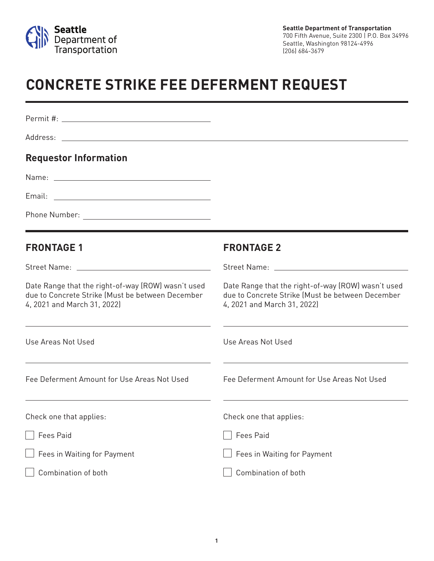

## **CONCRETE STRIKE FEE DEFERMENT REQUEST**

| <b>Requestor Information</b>                                                                                                          |                                                                                                                                       |
|---------------------------------------------------------------------------------------------------------------------------------------|---------------------------------------------------------------------------------------------------------------------------------------|
|                                                                                                                                       |                                                                                                                                       |
|                                                                                                                                       |                                                                                                                                       |
| <u> 1989 - Johann Stoff, deutscher Stoff, der Stoff, der Stoff, der Stoff, der Stoff, der Stoff, der Stoff, der S</u>                 |                                                                                                                                       |
| <b>FRONTAGE 1</b>                                                                                                                     | <b>FRONTAGE 2</b>                                                                                                                     |
|                                                                                                                                       |                                                                                                                                       |
| Date Range that the right-of-way (ROW) wasn't used<br>due to Concrete Strike (Must be between December<br>4, 2021 and March 31, 2022) | Date Range that the right-of-way (ROW) wasn't used<br>due to Concrete Strike (Must be between December<br>4, 2021 and March 31, 2022) |
| Use Areas Not Used                                                                                                                    | Use Areas Not Used                                                                                                                    |
| Fee Deferment Amount for Use Areas Not Used                                                                                           | Fee Deferment Amount for Use Areas Not Used                                                                                           |
| Check one that applies:                                                                                                               | Check one that applies:                                                                                                               |
| Fees Paid                                                                                                                             | <b>Fees Paid</b>                                                                                                                      |
| $\Box$ Fees in Waiting for Payment                                                                                                    | Fees in Waiting for Payment                                                                                                           |
| Combination of both                                                                                                                   | Combination of both                                                                                                                   |